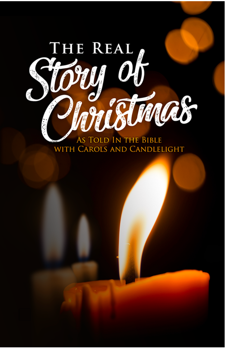

AS TOLD IN THE BIBLE<br>WITH CAROLS AND CANDLELIGHT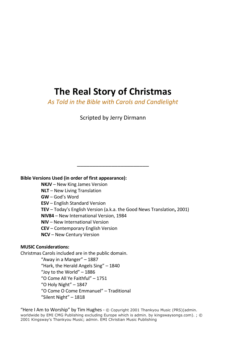# **The Real Story of Christmas**

*As Told in the Bible with Carols and Candlelight*

Scripted by Jerry Dirmann

\_\_\_\_\_\_\_\_\_\_\_\_\_\_\_\_\_\_\_\_\_\_\_

**Bible Versions Used (in order of first appearance):** 

**NKJV** – New King James Version

**NLT** – New Living Translation

**GW** – God's Word

**ESV** – English Standard Version

**TEV** – Today's English Version (a.k.a. the Good News Translation**,** 2001)

**NIV84** – New International Version, 1984

**NIV** – New International Version

**CEV** – Contemporary English Version

**NCV** – New Century Version

## **MUSIC Considerations:**

Christmas Carols included are in the public domain.

"Away in a Manger" – 1887 "Hark, the Herald Angels Sing" – 1840 "Joy to the World" – 1886 "O Come All Ye Faithful" – 1751 "O Holy Night" – 1847 "O Come O Come Emmanuel" – Traditional "Silent Night" – 1818

"Here I Am to Worship" by Tim Hughes - © Copyright 2001 Thankyou Music (PRS)(admin. worldwide by EMI CMG Publishing excluding Europe which is admin. by kingswaysongs.com). ; © 2001 Kingsway's Thankyou Music; admin. EMI Christian Music Publishing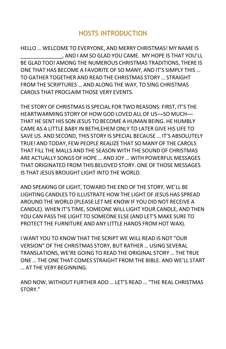# HOSTS INTRODUCTION

HELLO … WELCOME TO EVERYONE, AND MERRY CHRISTMAS! MY NAME IS \_\_\_\_\_\_\_\_\_\_\_\_\_\_, AND I AM SO GLAD YOU CAME. MY HOPE IS THAT YOU'LL BE GLAD TOO! AMONG THE NUMEROUS CHRISTMAS TRADITIONS, THERE IS ONE THAT HAS BECOME A FAVORITE OF SO MANY, AND IT'S SIMPLY THIS … TO GATHER TOGETHER AND READ THE CHRISTMAS STORY … STRAIGHT FROM THE SCRIPTURES … AND ALONG THE WAY, TO SING CHRISTMAS CAROLS THAT PROCLAIM THOSE VERY EVENTS.

THE STORY OF CHRISTMAS IS SPECIAL FOR TWO REASONS: FIRST, IT'S THE HEARTWARMING STORY OF HOW GOD LOVED ALL OF US––SO MUCH–– THAT HE SENT HIS SON JESUS TO BECOME A HUMAN BEING. HE HUMBLY CAME AS A LITTLE BABY IN BETHLEHEM ONLY TO LATER GIVE HIS LIFE TO SAVE US. AND SECOND, THIS STORY IS SPECIAL BECAUSE … IT'S ABSOLUTELY TRUE! AND TODAY, FEW PEOPLE REALIZE THAT SO MANY OF THE CAROLS THAT FILL THE MALLS AND THE SEASON WITH THE SOUND OF CHRISTMAS ARE ACTUALLY SONGS OF HOPE … AND JOY … WITH POWERFUL MESSAGES THAT ORIGINATED FROM THIS BELOVED STORY. ONE OF THOSE MESSAGES IS THAT JESUS BROUGHT LIGHT INTO THE WORLD.

AND SPEAKING OF LIGHT, TOWARD THE END OF THE STORY, WE'LL BE LIGHTING CANDLES TO ILLUSTRATE HOW THE LIGHT OF JESUS HAS SPREAD AROUND THE WORLD (PLEASE LET ME KNOW IF YOU DID NOT RECEIVE A CANDLE). WHEN IT'S TIME, SOMEONE WILL LIGHT YOUR CANDLE, AND THEN YOU CAN PASS THE LIGHT TO SOMEONE ELSE (AND LET'S MAKE SURE TO PROTECT THE FURNITURE AND ANY LITTLE HANDS FROM HOT WAX).

I WANT YOU TO KNOW THAT THE SCRIPT WE WILL READ IS NOT "OUR VERSION" OF THE CHRISTMAS STORY, BUT RATHER … USING SEVERAL TRANSLATIONS, WE'RE GOING TO READ THE ORIGINAL STORY … THE TRUE ONE … THE ONE THAT COMES STRAIGHT FROM THE BIBLE. AND WE'LL START … AT THE VERY BEGINNING.

AND NOW, WITHOUT FURTHER ADO … LET'S READ … "THE REAL CHRISTMAS STORY."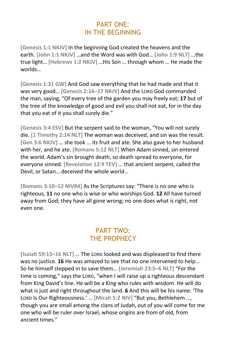# PART ONE: IN THE BEGINNING

**[Genesis 1:1 NKJV]** In the beginning God created the heavens and the earth. **[John 1:1 NKJV]** …and the Word was with God… **[John 1:9 NLT]** …the true light… **[Hebrews 1:2 NKJV]** …His Son … through whom … He made the worlds…

**[Genesis 1:31 GW]** And God saw everything that he had made and that it was very good… **[Genesis 2:16–17 NKJV]** And the LORD God commanded the man, saying, "Of every tree of the garden you may freely eat; **17** but of the tree of the knowledge of good and evil you shall not eat, for in the day that you eat of it you shall surely die."

**[Genesis 3:4 ESV]** But the serpent said to the woman, "You will not surely die. **[1 Timothy 2:14 NLT]** The woman was deceived, and sin was the result. **[Gen 3:6 NKJV]** … she took … its fruit and ate. She also gave to her husband with her, and he ate. **[Romans 5:12 NLT]** When Adam sinned, sin entered the world. Adam's sin brought death, so death spread to everyone, for everyone sinned. **[Revelation 12:9 TEV]** … that ancient serpent, called the Devil, or Satan… deceived the whole world…

**[Romans 3:10–12 NIV84]** As the Scriptures say: "There is no one who is righteous, **11** no one who is wise or who worships God. **12** All have turned away from God; they have all gone wrong; no one does what is right, not even one.

# PART TWO: THE PROPHECY

**[Isaiah 59:15–16 NLT]** … The LORD looked and was displeased to find there was no justice. **16** He was amazed to see that no one intervened to help... So he himself stepped in to save them… **[Jeremiah 23:5–6 NLT]** "For the time is coming," says the LORD, "when I will raise up a righteous descendant from King David's line. He will be a King who rules with wisdom. He will do what is just and right throughout the land. **6** And this will be his name: 'The LORD Is Our Righteousness.' … **[Micah 5:2 NIV]** "But you, Bethlehem …, though you are small among the clans of Judah, out of you will come for me one who will be ruler over Israel, whose origins are from of old, from ancient times."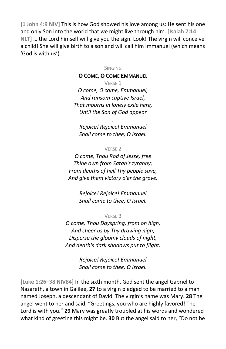**[1 John 4:9 NIV]** This is how God showed his love among us: He sent his one and only Son into the world that we might live through him. **[Isaiah 7:14 NLT]** … the Lord himself will give you the sign. Look! The virgin will conceive a child! She will give birth to a son and will call him Immanuel (which means 'God is with us').

SINGING

## **O COME, O COME EMMANUEL**

VERSE 1

*O come, O come, Emmanuel, And ransom captive Israel, That mourns in lonely exile here, Until the Son of God appear*

*. Rejoice! Rejoice! Emmanuel Shall come to thee, O Israel.*

### VERSE 2

*O come, Thou Rod of Jesse, free Thine own from Satan's tyranny; From depths of hell Thy people save, And give them victory o'er the grave.*

> *Rejoice! Rejoice! Emmanuel Shall come to thee, O Israel.*

## VERSE 3

*O come, Thou Dayspring, from on high, And cheer us by Thy drawing nigh; Disperse the gloomy clouds of night, And death's dark shadows put to flight.*

> *Rejoice! Rejoice! Emmanuel Shall come to thee, O Israel.*

**[Luke 1:26–38 NIV84]** In the sixth month, God sent the angel Gabriel to Nazareth, a town in Galilee, **27** to a virgin pledged to be married to a man named Joseph, a descendant of David. The virgin's name was Mary. **28** The angel went to her and said, "Greetings, you who are highly favored! The Lord is with you." **29** Mary was greatly troubled at his words and wondered what kind of greeting this might be. **30** But the angel said to her, "Do not be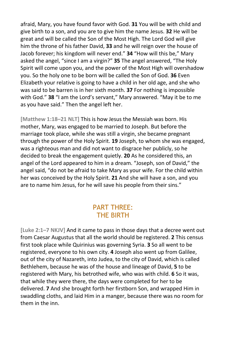afraid, Mary, you have found favor with God. **31** You will be with child and give birth to a son, and you are to give him the name Jesus. **32** He will be great and will be called the Son of the Most High. The Lord God will give him the throne of his father David, **33** and he will reign over the house of Jacob forever; his kingdom will never end." **34** "How will this be," Mary asked the angel, "since I am a virgin?" **35** The angel answered, "The Holy Spirit will come upon you, and the power of the Most High will overshadow you. So the holy one to be born will be called the Son of God. **36** Even Elizabeth your relative is going to have a child in her old age, and she who was said to be barren is in her sixth month. **37** For nothing is impossible with God." **38** "I am the Lord's servant," Mary answered. "May it be to me as you have said." Then the angel left her.

**[Matthew 1:18–21 NLT]** This is how Jesus the Messiah was born. His mother, Mary, was engaged to be married to Joseph. But before the marriage took place, while she was still a virgin, she became pregnant through the power of the Holy Spirit. **19** Joseph, to whom she was engaged, was a righteous man and did not want to disgrace her publicly, so he decided to break the engagement quietly. **20** As he considered this, an angel of the Lord appeared to him in a dream. "Joseph, son of David," the angel said, "do not be afraid to take Mary as your wife. For the child within her was conceived by the Holy Spirit. **21** And she will have a son, and you are to name him Jesus, for he will save his people from their sins."

# PART THREE: THE BIRTH

**[Luke 2:1–7 NKJV]** And it came to pass in those days that a decree went out from Caesar Augustus that all the world should be registered. **2** This census first took place while Quirinius was governing Syria. **3** So all went to be registered, everyone to his own city. **4** Joseph also went up from Galilee, out of the city of Nazareth, into Judea, to the city of David, which is called Bethlehem, because he was of the house and lineage of David, **5** to be registered with Mary, his betrothed wife, who was with child. **6** So it was, that while they were there, the days were completed for her to be delivered. **7** And she brought forth her firstborn Son, and wrapped Him in swaddling cloths, and laid Him in a manger, because there was no room for them in the inn.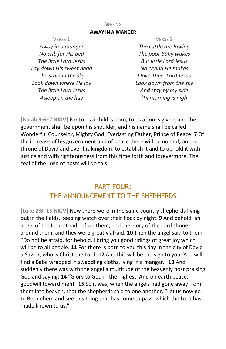## **AWAY IN A MANGER**

VERSE 1

*Away in a manger No crib for His bed The little Lord Jesus Lay down His sweet head The stars in the sky Look down where He lay The little Lord Jesus Asleep on the hay*

#### VERSE 2

*The cattle are lowing The poor Baby wakes But little Lord Jesus No crying He makes I love Thee, Lord Jesus Look down from the sky And stay by my side 'Til morning is nigh*

**[Isaiah 9:6–7 NKJV]** For to us a child is born, to us a son is given; and the government shall be upon his shoulder, and his name shall be called Wonderful Counselor, Mighty God, Everlasting Father, Prince of Peace. **7** Of the increase of his government and of peace there will be no end, on the throne of David and over his kingdom, to establish it and to uphold it with justice and with righteousness from this time forth and forevermore. The zeal of the LORD of hosts will do this.

# PART FOUR: THE ANNOUNCEMENT TO THE SHEPHERDS

**[Luke 2:8–15 NKJV]** Now there were in the same country shepherds living out in the fields, keeping watch over their flock by night. **9** And behold, an angel of the Lord stood before them, and the glory of the Lord shone around them, and they were greatly afraid. **10** Then the angel said to them, "Do not be afraid, for behold, I bring you good tidings of great joy which will be to all people. **11** For there is born to you this day in the city of David a Savior, who is Christ the Lord. **12** And this will be the sign to you: You will find a Babe wrapped in swaddling cloths, lying in a manger." **13** And suddenly there was with the angel a multitude of the heavenly host praising God and saying: **14** "Glory to God in the highest, And on earth peace, goodwill toward men!" **15** So it was, when the angels had gone away from them into heaven, that the shepherds said to one another, "Let us now go to Bethlehem and see this thing that has come to pass, which the Lord has made known to us."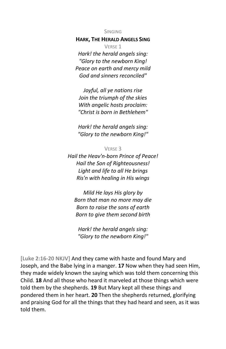## **HARK, THE HERALD ANGELS SING**

VERSE 1 *Hark! the herald angels sing: "Glory to the newborn King! Peace on earth and mercy mild God and sinners reconciled"*

*Joyful, all ye nations rise Join the triumph of the skies With angelic hosts proclaim: "Christ is born in Bethlehem"*

*Hark! the herald angels sing: "Glory to the newborn King!"*

#### VERSE 3

*Hail the Heav'n-born Prince of Peace! Hail the Son of Righteousness! Light and life to all He brings Ris'n with healing in His wings*

*Mild He lays His glory by Born that man no more may die Born to raise the sons of earth Born to give them second birth*

*Hark! the herald angels sing: "Glory to the newborn King!"*

**[Luke 2:16-20 NKJV]** And they came with haste and found Mary and Joseph, and the Babe lying in a manger. **17** Now when they had seen Him, they made widely known the saying which was told them concerning this Child. **18** And all those who heard it marveled at those things which were told them by the shepherds. **19** But Mary kept all these things and pondered them in her heart. **20** Then the shepherds returned, glorifying and praising God for all the things that they had heard and seen, as it was told them.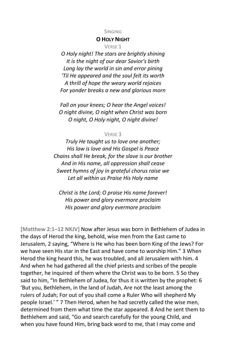### **O HOLY NIGHT**

VERSE 1

*O Holy night! The stars are brightly shining It is the night of our dear Savior's birth Long lay the world in sin and error pining 'Til He appeared and the soul felt its worth A thrill of hope the weary world rejoices For yonder breaks a new and glorious morn*

*Fall on your knees; O hear the Angel voices! O night divine, O night when Christ was born O night, O Holy night, O night divine!*

### VERSE 3

*Truly He taught us to love one another; His law is love and His Gospel is Peace Chains shall He break, for the slave is our brother And in His name, all oppression shall cease Sweet hymns of joy in grateful chorus raise we Let all within us Praise His Holy name*

*Christ is the Lord; O praise His name forever! His power and glory evermore proclaim His power and glory evermore proclaim*

**[Matthew 2:1–12 NKJV]** Now after Jesus was born in Bethlehem of Judea in the days of Herod the king, behold, wise men from the East came to Jerusalem, 2 saying, "Where is He who has been born King of the Jews? For we have seen His star in the East and have come to worship Him." 3 When Herod the king heard this, he was troubled, and all Jerusalem with him. 4 And when he had gathered all the chief priests and scribes of the people together, he inquired of them where the Christ was to be born. 5 So they said to him, "In Bethlehem of Judea, for thus it is written by the prophet: 6 'But you, Bethlehem, in the land of Judah, Are not the least among the rulers of Judah; For out of you shall come a Ruler Who will shepherd My people Israel.' " 7 Then Herod, when he had secretly called the wise men, determined from them what time the star appeared. 8 And he sent them to Bethlehem and said, "Go and search carefully for the young Child, and when you have found Him, bring back word to me, that I may come and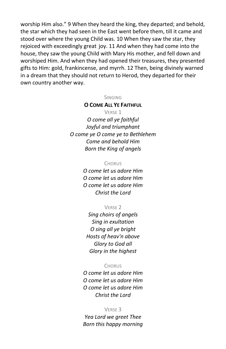worship Him also." 9 When they heard the king, they departed; and behold, the star which they had seen in the East went before them, till it came and stood over where the young Child was. 10 When they saw the star, they rejoiced with exceedingly great joy. 11 And when they had come into the house, they saw the young Child with Mary His mother, and fell down and worshiped Him. And when they had opened their treasures, they presented gifts to Him: gold, frankincense, and myrrh. 12 Then, being divinely warned in a dream that they should not return to Herod, they departed for their own country another way.

#### SINGING

#### **O COME ALL YE FAITHFUL**

VERSE 1 *O come all ye faithful Joyful and triumphant O come ye O come ye to Bethlehem Come and behold Him Born the King of angels*

#### **CHORUS**

*O come let us adore Him O come let us adore Him O come let us adore Him Christ the Lord*

#### VERSE 2

*Sing choirs of angels Sing in exultation O sing all ye bright Hosts of heav'n above Glory to God all Glory in the highest*

## **CHORUS**

*O come let us adore Him O come let us adore Him O come let us adore Him Christ the Lord*

#### VERSE 3

*Yea Lord we greet Thee Born this happy morning*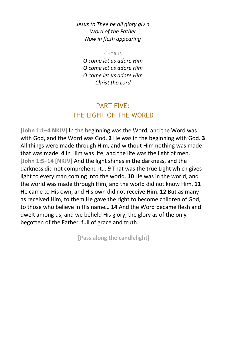*Jesus to Thee be all glory giv'n Word of the Father Now in flesh appearing*

**CHORUS** 

*O come let us adore Him O come let us adore Him O come let us adore Him Christ the Lord*

# PART FIVE: THE LIGHT OF THE WORLD

**[John 1:1–4 NKJV]** In the beginning was the Word, and the Word was with God, and the Word was God. **2** He was in the beginning with God. **3** All things were made through Him, and without Him nothing was made that was made. **4** In Him was life, and the life was the light of men. [**John 1:5–14 [NKJV]** And the light shines in the darkness, and the darkness did not comprehend it**… 9** That was the true Light which gives light to every man coming into the world. **10** He was in the world, and the world was made through Him, and the world did not know Him. **11** He came to His own, and His own did not receive Him. **12** But as many as received Him, to them He gave the right to become children of God, to those who believe in His name**… 14** And the Word became flesh and dwelt among us, and we beheld His glory, the glory as of the only begotten of the Father, full of grace and truth.

**[Pass along the candlelight]**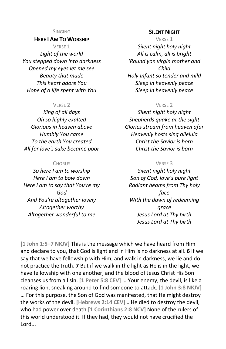## **HERE I AM TO WORSHIP**

VERSE 1 *Light of the world You stepped down into darkness Opened my eyes let me see Beauty that made This heart adore You Hope of a life spent with You*

#### VERSE 2

*King of all days Oh so highly exalted Glorious in heaven above Humbly You came To the earth You created All for love's sake became poor*

#### **CHORUS**

*So here I am to worship Here I am to bow down Here I am to say that You're my God And You're altogether lovely Altogether worthy Altogether wonderful to me*

#### **SILENT NIGHT**

VERSE 1

*Silent night holy night All is calm, all is bright 'Round yon virgin mother and Child Holy Infant so tender and mild Sleep in heavenly peace Sleep in heavenly peace*

#### VERSE 2

*Silent night holy night Shepherds quake at the sight Glories stream from heaven afar Heavenly hosts sing alleluia Christ the Savior is born Christ the Savior is born*

#### VERSE 3

*Silent night holy night Son of God, love's pure light Radiant beams from Thy holy face With the dawn of redeeming grace Jesus Lord at Thy birth Jesus Lord at Thy birth*

**[1 John 1:5–7 NKJV]** This is the message which we have heard from Him and declare to you, that God is light and in Him is no darkness at all. **6** If we say that we have fellowship with Him, and walk in darkness, we lie and do not practice the truth. **7** But if we walk in the light as He is in the light, we have fellowship with one another, and the blood of Jesus Christ His Son cleanses us from all sin. **[1 Peter 5:8 CEV]** … Your enemy, the devil, is like a roaring lion, sneaking around to find someone to attack. [**1 John 3:8 NKJV]** … For this purpose, the Son of God was manifested, that He might destroy the works of the devil. **[Hebrews 2:14 CEV]** …He died to destroy the devil, who had power over death.**[1 Corinthians 2:8 NCV]** None of the rulers of this world understood it. If they had, they would not have crucified the Lord...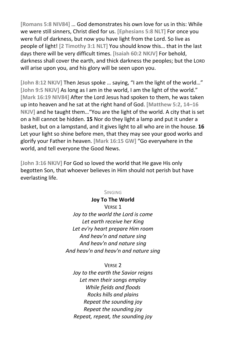**[Romans 5:8 NIV84]** … God demonstrates his own love for us in this: While we were still sinners, Christ died for us. **[Ephesians 5:8 NLT]** For once you were full of darkness, but now you have light from the Lord. So live as people of light! **[2 Timothy 3:1 NLT]** You should know this… that in the last days there will be very difficult times. **[Isaiah 60:2 NKJV]** For behold, darkness shall cover the earth, and thick darkness the peoples; but the LORD will arise upon you, and his glory will be seen upon you.

**[John 8:12 NKJV]** Then Jesus spoke … saying, "I am the light of the world…" [John 9:5 NKJV] As long as I am in the world, I am the light of the world." **[Mark 16:19 NIV84]** After the Lord Jesus had spoken to them, he was taken up into heaven and he sat at the right hand of God. **[Matthew 5:2, 14–16 NKJV]** and he taught them…"You are the light of the world. A city that is set on a hill cannot be hidden. **15** Nor do they light a lamp and put it under a basket, but on a lampstand, and it gives light to all who are in the house. **16** Let your light so shine before men, that they may see your good works and glorify your Father in heaven. **[Mark 16:15 GW]** "Go everywhere in the world, and tell everyone the Good News.

**[John 3:16 NKJV]** For God so loved the world that He gave His only begotten Son, that whoever believes in Him should not perish but have everlasting life.

## SINGING

**Joy To The World** VERSE 1 *Joy to the world the Lord is come Let earth receive her King Let ev'ry heart prepare Him room And heav'n and nature sing And heav'n and nature sing And heav'n and heav'n and nature sing*

#### VERSE 2

*Joy to the earth the Savior reigns Let men their songs employ While fields and floods Rocks hills and plains Repeat the sounding joy Repeat the sounding joy Repeat, repeat, the sounding joy*